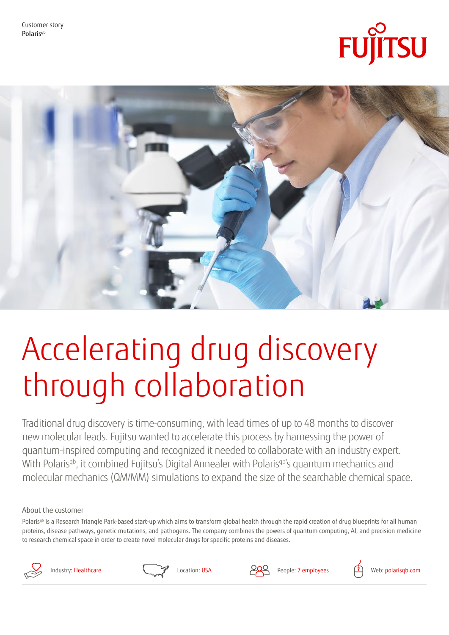Customer story Polaris<sup>qb</sup>





# Accelerating drug discovery through collaboration

Traditional drug discovery is time-consuming, with lead times of up to 48 months to discover new molecular leads. Fujitsu wanted to accelerate this process by harnessing the power of quantum-inspired computing and recognized it needed to collaborate with an industry expert. With Polaris<sup>qb</sup>, it combined Fujitsu's Digital Annealer with Polarisq<sup>b'</sup>s quantum mechanics and molecular mechanics (QM/MM) simulations to expand the size of the searchable chemical space.

About the customer

Polaris<sup>qb</sup> is a Research Triangle Park-based start-up which aims to transform global health through the rapid creation of drug blueprints for all human proteins, disease pathways, genetic mutations, and pathogens. The company combines the powers of quantum computing, AI, and precision medicine to research chemical space in order to create novel molecular drugs for specific proteins and diseases.







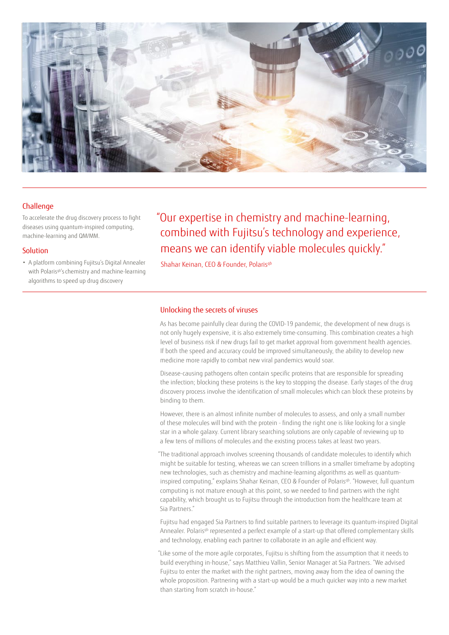

# **Challenge**

To accelerate the drug discovery process to fight diseases using quantum-inspired computing, machine-learning and QM/MM.

# **Solution**

• A platform combining Fujitsu's Digital Annealer with Polaris<sup>qb'</sup>s chemistry and machine-learning algorithms to speed up drug discovery

"Our expertise in chemistry and machine-learning, combined with Fujitsu's technology and experience, means we can identify viable molecules quickly."

Shahar Keinan, CEO & Founder, Polaris<sup>qb</sup>

# Unlocking the secrets of viruses

As has become painfully clear during the COVID-19 pandemic, the development of new drugs is not only hugely expensive, it is also extremely time-consuming. This combination creates a high level of business risk if new drugs fail to get market approval from government health agencies. If both the speed and accuracy could be improved simultaneously, the ability to develop new medicine more rapidly to combat new viral pandemics would soar.

Disease-causing pathogens often contain specific proteins that are responsible for spreading the infection; blocking these proteins is the key to stopping the disease. Early stages of the drug discovery process involve the identification of small molecules which can block these proteins by binding to them.

However, there is an almost infinite number of molecules to assess, and only a small number of these molecules will bind with the protein - finding the right one is like looking for a single star in a whole galaxy. Current library searching solutions are only capable of reviewing up to a few tens of millions of molecules and the existing process takes at least two years.

"The traditional approach involves screening thousands of candidate molecules to identify which might be suitable for testing, whereas we can screen trillions in a smaller timeframe by adopting new technologies, such as chemistry and machine-learning algorithms as well as quantuminspired computing," explains Shahar Keinan, CEO & Founder of Polaris<sup>qb</sup>. "However, full quantum computing is not mature enough at this point, so we needed to find partners with the right capability, which brought us to Fujitsu through the introduction from the healthcare team at Sia Partners."

Fujitsu had engaged Sia Partners to find suitable partners to leverage its quantum-inspired Digital Annealer. Polaris<sup>qb</sup> represented a perfect example of a start-up that offered complementary skills and technology, enabling each partner to collaborate in an agile and efficient way.

"Like some of the more agile corporates, Fujitsu is shifting from the assumption that it needs to build everything in-house," says Matthieu Vallin, Senior Manager at Sia Partners. "We advised Fujitsu to enter the market with the right partners, moving away from the idea of owning the whole proposition. Partnering with a start-up would be a much quicker way into a new market than starting from scratch in-house."